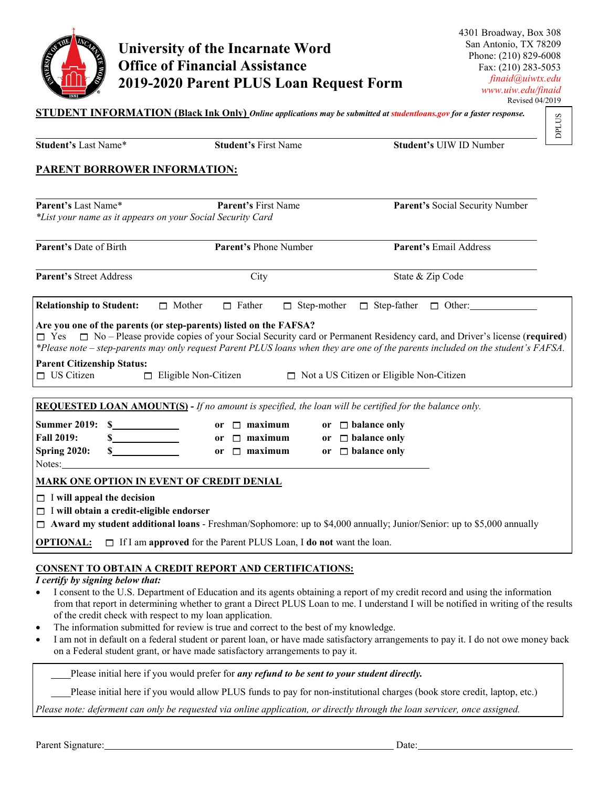

## **University of the Incarnate Word Office of Financial Assistance 2019-2020 Parent PLUS Loan Request Form**

| <b>Student's Last Name*</b>                                                                                                                                                                                                            | <b>Student's First Name</b>                                                                                                                                            | <b>DPLUS</b><br>Student's UIW ID Number                                                                                                                                                                                                                                                                                                                                                                     |
|----------------------------------------------------------------------------------------------------------------------------------------------------------------------------------------------------------------------------------------|------------------------------------------------------------------------------------------------------------------------------------------------------------------------|-------------------------------------------------------------------------------------------------------------------------------------------------------------------------------------------------------------------------------------------------------------------------------------------------------------------------------------------------------------------------------------------------------------|
| <b>PARENT BORROWER INFORMATION:</b>                                                                                                                                                                                                    |                                                                                                                                                                        |                                                                                                                                                                                                                                                                                                                                                                                                             |
| Parent's Last Name*<br>*List your name as it appears on your Social Security Card                                                                                                                                                      | Parent's First Name                                                                                                                                                    | Parent's Social Security Number                                                                                                                                                                                                                                                                                                                                                                             |
| Parent's Date of Birth                                                                                                                                                                                                                 | Parent's Phone Number                                                                                                                                                  | Parent's Email Address                                                                                                                                                                                                                                                                                                                                                                                      |
| Parent's Street Address                                                                                                                                                                                                                | City                                                                                                                                                                   | State & Zip Code                                                                                                                                                                                                                                                                                                                                                                                            |
| <b>Relationship to Student:</b><br>$\Box$ Mother                                                                                                                                                                                       | $\Box$ Father                                                                                                                                                          | □ Step-mother □ Step-father □ Other:                                                                                                                                                                                                                                                                                                                                                                        |
| Are you one of the parents (or step-parents) listed on the FAFSA?                                                                                                                                                                      |                                                                                                                                                                        | $\Box$ Yes $\Box$ No – Please provide copies of your Social Security card or Permanent Residency card, and Driver's license (required)<br>*Please note – step-parents may only request Parent PLUS loans when they are one of the parents included on the student's FAFSA.                                                                                                                                  |
| <b>Parent Citizenship Status:</b><br>$\Box$ US Citizen<br>$\Box$ Eligible Non-Citizen                                                                                                                                                  |                                                                                                                                                                        | $\Box$ Not a US Citizen or Eligible Non-Citizen                                                                                                                                                                                                                                                                                                                                                             |
| <b>REQUESTED LOAN AMOUNT(S)</b> - If no amount is specified, the loan will be certified for the balance only.                                                                                                                          |                                                                                                                                                                        |                                                                                                                                                                                                                                                                                                                                                                                                             |
| <b>Summer 2019:</b><br>s<br><b>Fall 2019:</b><br>$\frac{\sim}{\sim}$<br><b>Spring 2020:</b><br>Notes:                                                                                                                                  | or $\Box$ maximum<br>or $\Box$ maximum<br>or $\Box$ maximum                                                                                                            | or $\Box$ balance only<br>or $\Box$ balance only<br>or $\Box$ balance only                                                                                                                                                                                                                                                                                                                                  |
| <u>MARK ONE OPTION IN EVENT OF CREDIT DENIAL</u><br>$\Box$ I will appeal the decision<br>$\Box$ I will obtain a credit-eligible endorser<br><b>OPTIONAL:</b> $\Box$ If I am approved for the Parent PLUS Loan, I do not want the loan. |                                                                                                                                                                        | $\Box$ Award my student additional loans - Freshman/Sophomore: up to \$4,000 annually; Junior/Senior: up to \$5,000 annually                                                                                                                                                                                                                                                                                |
| <b>CONSENT TO OBTAIN A CREDIT REPORT AND CERTIFICATIONS:</b><br>I certify by signing below that:<br>٠<br>of the credit check with respect to my loan application.                                                                      | The information submitted for review is true and correct to the best of my knowledge.<br>on a Federal student grant, or have made satisfactory arrangements to pay it. | I consent to the U.S. Department of Education and its agents obtaining a report of my credit record and using the information<br>from that report in determining whether to grant a Direct PLUS Loan to me. I understand I will be notified in writing of the results<br>I am not in default on a federal student or parent loan, or have made satisfactory arrangements to pay it. I do not owe money back |
|                                                                                                                                                                                                                                        | Please initial here if you would prefer for any refund to be sent to your student directly.                                                                            |                                                                                                                                                                                                                                                                                                                                                                                                             |
|                                                                                                                                                                                                                                        |                                                                                                                                                                        | Please initial here if you would allow PLUS funds to pay for non-institutional charges (book store credit, laptop, etc.)                                                                                                                                                                                                                                                                                    |
|                                                                                                                                                                                                                                        |                                                                                                                                                                        | Please note: deferment can only be requested via online application, or directly through the loan servicer, once assigned.                                                                                                                                                                                                                                                                                  |
| Parent Signature:                                                                                                                                                                                                                      |                                                                                                                                                                        | Date:                                                                                                                                                                                                                                                                                                                                                                                                       |

- of the credit check with respect to my loan application. The information submitted for review is true and correct to the best of my knowledge.
- I am not in default on a federal student or parent loan, or have made satisfactory arrangements to pay it. I do not owe money back on a Federal student grant, or have made satisfactory arrangements to pay it.